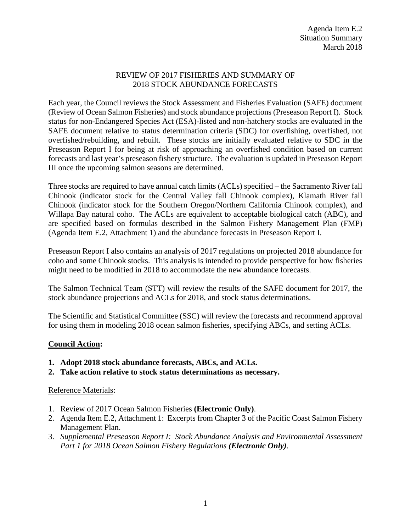## REVIEW OF 2017 FISHERIES AND SUMMARY OF 2018 STOCK ABUNDANCE FORECASTS

Each year, the Council reviews the Stock Assessment and Fisheries Evaluation (SAFE) document (Review of Ocean Salmon Fisheries) and stock abundance projections (Preseason Report I). Stock status for non-Endangered Species Act (ESA)-listed and non-hatchery stocks are evaluated in the SAFE document relative to status determination criteria (SDC) for overfishing, overfished, not overfished/rebuilding, and rebuilt. These stocks are initially evaluated relative to SDC in the Preseason Report I for being at risk of approaching an overfished condition based on current forecasts and last year's preseason fishery structure. The evaluation is updated in Preseason Report III once the upcoming salmon seasons are determined.

Three stocks are required to have annual catch limits (ACLs) specified – the Sacramento River fall Chinook (indicator stock for the Central Valley fall Chinook complex), Klamath River fall Chinook (indicator stock for the Southern Oregon/Northern California Chinook complex), and Willapa Bay natural coho. The ACLs are equivalent to acceptable biological catch (ABC), and are specified based on formulas described in the Salmon Fishery Management Plan (FMP) (Agenda Item E.2, Attachment 1) and the abundance forecasts in Preseason Report I.

Preseason Report I also contains an analysis of 2017 regulations on projected 2018 abundance for coho and some Chinook stocks. This analysis is intended to provide perspective for how fisheries might need to be modified in 2018 to accommodate the new abundance forecasts.

The Salmon Technical Team (STT) will review the results of the SAFE document for 2017, the stock abundance projections and ACLs for 2018, and stock status determinations.

The Scientific and Statistical Committee (SSC) will review the forecasts and recommend approval for using them in modeling 2018 ocean salmon fisheries, specifying ABCs, and setting ACLs.

## **Council Action:**

- **1. Adopt 2018 stock abundance forecasts, ABCs, and ACLs.**
- **2. Take action relative to stock status determinations as necessary.**

## Reference Materials:

- 1. Review of 2017 Ocean Salmon Fisheries **(Electronic Only)**.
- 2. Agenda Item E.2, Attachment 1: Excerpts from Chapter 3 of the Pacific Coast Salmon Fishery Management Plan.
- 3. *Supplemental Preseason Report I: Stock Abundance Analysis and Environmental Assessment Part 1 for 2018 Ocean Salmon Fishery Regulations (Electronic Only)*.